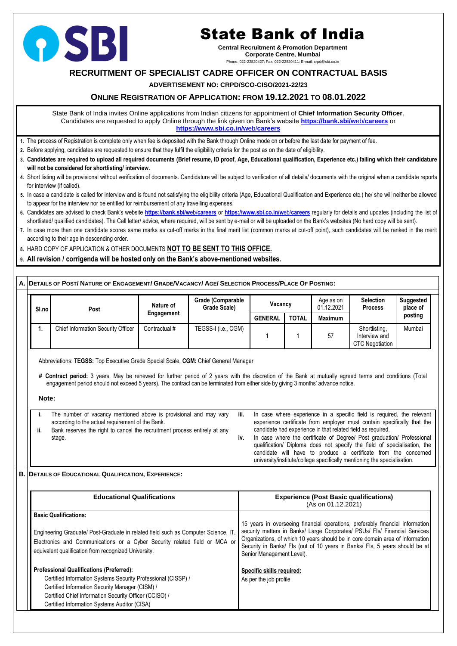# **RECRUITMENT OF SPECIALIST CADRE OFFICER ON CONTRACTUAL BASIS**

## **ADVERTISEMENT NO: CRPD/SCO-CISO/2021-22/23**

## **ONLINE REGISTRATION OF APPLICATION: FROM 19.12.2021 TO 08.01.2022**

State Bank of India invites Online applications from Indian citizens for appointment of **Chief Information Security Officer**. Candidates are requested to apply Online through the link given on Bank's website **[https://bank.sbi/w](https://bank.sbi/web/careers)**eb/**careers** or **[https://www.sbi.co.in/w](https://www.sbi.co.in/web/careers)**eb/**careers**

- **1.** The process of Registration is complete only when fee is deposited with the Bank through Online mode on or before the last date for payment of fee.
- **2.** Before applying, candidates are requested to ensure that they fulfil the eligibility criteria for the post as on the date of eligibility.
- **3. Candidates are required to upload all required documents (Brief resume, ID proof, Age, Educational qualification, Experience etc.) failing which their candidature will not be considered for shortlisting/ interview.**
- **4.** Short listing will be provisional without verification of documents. Candidature will be subject to verification of all details/ documents with the original when a candidate reports for interview (if called).
- **5.** In case a candidate is called for interview and is found not satisfying the eligibility criteria (Age, Educational Qualification and Experience etc.) he/ she will neither be allowed to appear for the interview nor be entitled for reimbursement of any travelling expenses.
- **6.** Candidates are advised to check Bank's website **[https://bank.sbi/w](https://bank.sbi/web/careers)**eb/**careers** or **[https://www.sbi.co.in/w](https://www.sbi.co.in/web/careers)**eb/**careers** regularly for details and updates (including the list of shortlisted/ qualified candidates). The Call letter/ advice, where required, will be sent by e-mail or will be uploaded on the Bank's websites (No hard copy will be sent).
- **7.** In case more than one candidate scores same marks as cut-off marks in the final merit list (common marks at cut-off point), such candidates will be ranked in the merit according to their age in descending order.
- **8.** HARD COPY OF APPLICATION & OTHER DOCUMENTS **NOT TO BE SENT TO THIS OFFICE.**
- **9. All revision / corrigenda will be hosted only on the Bank's above-mentioned websites.**

## A. DETAILS OF POST/ NATURE OF ENGAGEMENT/ GRADE/VACANCY/ AGE/ SELECTION PROCESS/PLACE OF POSTING:

| Sl.no |  | Post                                      | <b>Nature of</b> | <b>Grade (Comparable</b><br><b>Grade Scale)</b> | Vacancy        |              | Age as on<br>01.12.2021 | <b>Selection</b><br><b>Process</b>                | <b>Suggested</b><br>place of |
|-------|--|-------------------------------------------|------------------|-------------------------------------------------|----------------|--------------|-------------------------|---------------------------------------------------|------------------------------|
|       |  |                                           | Engagement       |                                                 | <b>GENERAL</b> | <b>TOTAL</b> | <b>Maximum</b>          |                                                   | posting                      |
|       |  | <b>Chief Information Security Officer</b> | Contractual #    | TEGSS-I (i.e., CGM)                             |                |              | 57                      | Shortlisting,<br>Interview and<br>CTC Negotiation | Mumbai                       |

Abbreviations: **TEGSS:** Top Executive Grade Special Scale, **CGM:** Chief General Manager

**# Contract period:** 3 years. May be renewed for further period of 2 years with the discretion of the Bank at mutually agreed terms and conditions (Total engagement period should not exceed 5 years). The contract can be terminated from either side by giving 3 months' advance notice.

**Note:**

|     | The number of vacancy mentioned above is provisional and may vary         | iii. | In case where experience in a specific field is required, the relevant                                                                                                                                                                                                                            |
|-----|---------------------------------------------------------------------------|------|---------------------------------------------------------------------------------------------------------------------------------------------------------------------------------------------------------------------------------------------------------------------------------------------------|
|     | according to the actual requirement of the Bank.                          |      | experience certificate from employer must contain specifically that the                                                                                                                                                                                                                           |
| ii. | Bank reserves the right to cancel the recruitment process entirely at any |      | candidate had experience in that related field as required.                                                                                                                                                                                                                                       |
|     | stage.                                                                    | IV.  | In case where the certificate of Degree/ Post graduation/ Professional<br>qualification/ Diploma does not specify the field of specialisation, the<br>candidate will have to produce a certificate from the concerned<br>university/institute/college specifically mentioning the specialisation. |

**B. DETAILS OF EDUCATIONAL QUALIFICATION, EXPERIENCE:**

| <b>Educational Qualifications</b>                                                                                                                                                                                                                                             | <b>Experience (Post Basic qualifications)</b><br>(As on 01.12.2021)                                                                                                                                                                                                                                                                                      |
|-------------------------------------------------------------------------------------------------------------------------------------------------------------------------------------------------------------------------------------------------------------------------------|----------------------------------------------------------------------------------------------------------------------------------------------------------------------------------------------------------------------------------------------------------------------------------------------------------------------------------------------------------|
| <b>Basic Qualifications:</b><br>Engineering Graduate/ Post-Graduate in related field such as Computer Science, IT,<br>Electronics and Communications or a Cyber Security related field or MCA or<br>equivalent qualification from recognized University.                      | 15 years in overseeing financial operations, preferably financial information<br>security matters in Banks/ Large Corporates/ PSUs/ Fls/ Financial Services<br>Organizations, of which 10 years should be in core domain area of Information<br>Security in Banks/ FIs (out of 10 years in Banks/ FIs, 5 years should be at<br>Senior Management Level). |
| <b>Professional Qualifications (Preferred):</b><br>Certified Information Systems Security Professional (CISSP) /<br>Certified Information Security Manager (CISM) /<br>Certified Chief Information Security Officer (CCISO) /<br>Certified Information Systems Auditor (CISA) | <b>Specific skills required:</b><br>As per the job profile                                                                                                                                                                                                                                                                                               |



# State Bank of India

**Central Recruitment & Promotion Department Corporate Centre, Mumbai** Phone: 022-22820427; Fax: 022-22820411; E-mail: crpd@sbi.co.in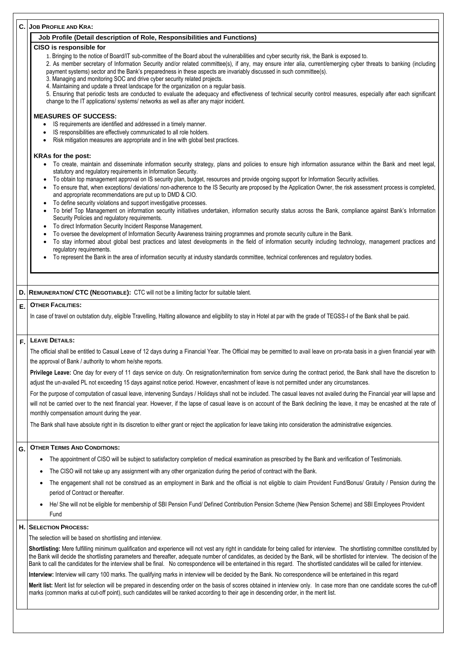#### **C. JOB PROFILE AND KRA:**

#### **Job Profile (Detail description of Role, Responsibilities and Functions)**

#### **CISO is responsible for**

1. Bringing to the notice of Board/IT sub-committee of the Board about the vulnerabilities and cyber security risk, the Bank is exposed to.

2. As member secretary of Information Security and/or related committee(s), if any, may ensure inter alia, current/emerging cyber threats to banking (including payment systems) sector and the Bank's preparedness in these aspects are invariably discussed in such committee(s).

3. Managing and monitoring SOC and drive cyber security related projects.

4. Maintaining and update a threat landscape for the organization on a regular basis.

5. Ensuring that periodic tests are conducted to evaluate the adequacy and effectiveness of technical security control measures, especially after each significant change to the IT applications/ systems/ networks as well as after any major incident.

#### **MEASURES OF SUCCESS:**

- IS requirements are identified and addressed in a timely manner.
- IS responsibilities are effectively communicated to all role holders.
- Risk mitigation measures are appropriate and in line with global best practices.

#### **KRAs for the post:**

- To create, maintain and disseminate information security strategy, plans and policies to ensure high information assurance within the Bank and meet legal, statutory and regulatory requirements in Information Security.
- To obtain top management approval on IS security plan, budget, resources and provide ongoing support for Information Security activities.
- To ensure that, when exceptions/ deviations/ non-adherence to the IS Security are proposed by the Application Owner, the risk assessment process is completed, and appropriate recommendations are put up to DMD & CIO.
- To define security violations and support investigative processes.
- To brief Top Management on information security initiatives undertaken, information security status across the Bank, compliance against Bank's Information Security Policies and regulatory requirements.
- To direct Information Security Incident Response Management.
- To oversee the development of Information Security Awareness training programmes and promote security culture in the Bank.
- To stay informed about global best practices and latest developments in the field of information security including technology, management practices and regulatory requirements.
- To represent the Bank in the area of information security at industry standards committee, technical conferences and regulatory bodies.

For the purpose of computation of casual leave, intervening Sundays / Holidays shall not be included. The casual leaves not availed during the Financial year will lapse and will not be carried over to the next financial year. However, if the lapse of casual leave is on account of the Bank declining the leave, it may be encashed at the rate of monthly compensation amount during the year.

#### **D. REMUNERATION/ CTC (NEGOTIABLE):** CTC will not be a limiting factor for suitable talent.

#### **E. OTHER FACILITIES:**

In case of travel on outstation duty, eligible Travelling, Halting allowance and eligibility to stay in Hotel at par with the grade of TEGSS-I of the Bank shall be paid.

#### **F. LEAVE DETAILS:**

The official shall be entitled to Casual Leave of 12 days during a Financial Year. The Official may be permitted to avail leave on pro-rata basis in a given financial year with the approval of Bank / authority to whom he/she reports.

**Privilege Leave:** One day for every of 11 days service on duty. On resignation/termination from service during the contract period, the Bank shall have the discretion to adjust the un-availed PL not exceeding 15 days against notice period. However, encashment of leave is not permitted under any circumstances.

The Bank shall have absolute right in its discretion to either grant or reject the application for leave taking into consideration the administrative exigencies.

#### **G. OTHER TERMS AND CONDITIONS:**

- The appointment of CISO will be subject to satisfactory completion of medical examination as prescribed by the Bank and verification of Testimonials.
- The CISO will not take up any assignment with any other organization during the period of contract with the Bank.
- The engagement shall not be construed as an employment in Bank and the official is not eligible to claim Provident Fund/Bonus/ Gratuity / Pension during the

period of Contract or thereafter.

• He/ She will not be eligible for membership of SBI Pension Fund/ Defined Contribution Pension Scheme (New Pension Scheme) and SBI Employees Provident Fund

#### **H. SELECTION PROCESS:**

The selection will be based on shortlisting and interview.

**Shortlisting:** Mere fulfilling minimum qualification and experience will not vest any right in candidate for being called for interview. The shortlisting committee constituted by the Bank will decide the shortlisting parameters and thereafter, adequate number of candidates, as decided by the Bank, will be shortlisted for interview. The decision of the Bank to call the candidates for the interview shall be final. No correspondence will be entertained in this regard. The shortlisted candidates will be called for interview.

**Interview:** Interview will carry 100 marks. The qualifying marks in interview will be decided by the Bank. No correspondence will be entertained in this regard

**Merit list:** Merit list for selection will be prepared in descending order on the basis of scores obtained in interview only. In case more than one candidate scores the cut-off marks (common marks at cut-off point), such candidates will be ranked according to their age in descending order, in the merit list.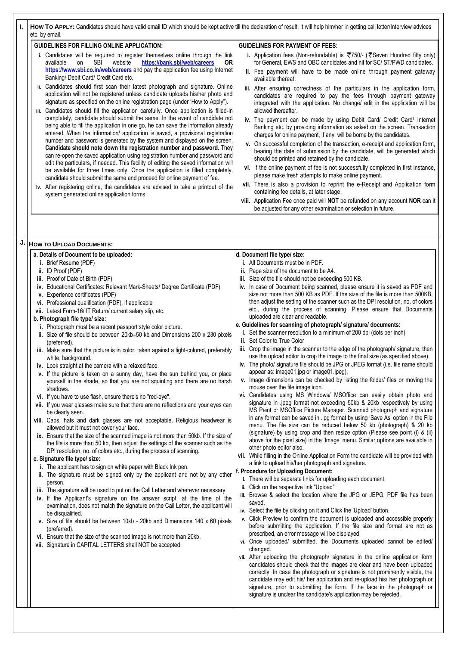**I.** | How To APPLY: Candidates should have valid email ID which should be kept active till the declaration of result. It will help him/her in getting call letter/Interview advices etc. by email.

#### **GUIDELINES FOR FILLING ONLINE APPLICATION:**

- **i.** Candidates will be required to register themselves online through the link available on SBI website **<https://bank.sbi/web/careers> OR <https://www.sbi.co.in/web/careers>** and pay the application fee using Internet Banking/ Debit Card/ Credit Card etc.
- **ii.** Candidates should first scan their latest photograph and signature. Online application will not be registered unless candidate uploads his/her photo and signature as specified on the online registration page (under 'How to Apply").
- **iii.** Candidates should fill the application carefully. Once application is filled-in completely, candidate should submit the same. In the event of candidate not being able to fill the application in one go, he can save the information already entered. When the information/ application is saved, a provisional registration number and password is generated by the system and displayed on the screen. **Candidate should note down the registration number and password.** They can re-open the saved application using registration number and password and edit the particulars, if needed. This facility of editing the saved information will be available for three times only. Once the application is filled completely, candidate should submit the same and proceed for online payment of fee.
- **iv.** After registering online, the candidates are advised to take a printout of the system generated online application forms.
- **i.** Application fees (Non-refundable) is ₹750/- (₹Seven Hundred fifty only) for General, EWS and OBC candidates and nil for SC/ ST/PWD candidates.
- **ii.** Fee payment will have to be made online through payment gateway available thereat.
- **iii.** After ensuring correctness of the particulars in the application form, candidates are required to pay the fees through payment gateway integrated with the application. No change/ edit in the application will be allowed thereafter.
- **iv.** The payment can be made by using Debit Card/ Credit Card/ Internet Banking etc. by providing information as asked on the screen. Transaction charges for online payment, if any, will be borne by the candidates.
- **v.** On successful completion of the transaction, e-receipt and application form, bearing the date of submission by the candidate, will be generated which should be printed and retained by the candidate.
- **vi.** If the online payment of fee is not successfully completed in first instance, please make fresh attempts to make online payment.
- **vii.** There is also a provision to reprint the e-Receipt and Application form containing fee details, at later stage.
- **viii.** Application Fee once paid will **NOT** be refunded on any account **NOR** can it be adjusted for any other examination or selection in future.

#### **GUIDELINES FOR PAYMENT OF FEES:**

- 
- **iv.** If the Applicant's signature on the answer script, at the time of the examination, does not match the signature on the Call Letter, the applicant will be disqualified.
- **v.** Size of file should be between 10kb 20kb and Dimensions 140 x 60 pixels (preferred).
- **vi.** Ensure that the size of the scanned image is not more than 20kb.
- **vii.** Signature in CAPITAL LETTERS shall NOT be accepted.

| J. | <b>HOW TO UPLOAD DOCUMENTS:</b>                                                                                         |                                                                                                                  |
|----|-------------------------------------------------------------------------------------------------------------------------|------------------------------------------------------------------------------------------------------------------|
|    | a. Details of Document to be uploaded:                                                                                  | d. Document file type/ size:                                                                                     |
|    | i. Brief Resume (PDF)                                                                                                   | i. All Documents must be in PDF.                                                                                 |
|    | ii. ID Proof (PDF)                                                                                                      | ii. Page size of the document to be A4.                                                                          |
|    | iii. Proof of Date of Birth (PDF)                                                                                       | iii. Size of the file should not be exceeding 500 KB.                                                            |
|    | iv. Educational Certificates: Relevant Mark-Sheets/ Degree Certificate (PDF)                                            | iv. In case of Document being scanned, please ensure it is saved as PDF and                                      |
|    | v. Experience certificates (PDF)                                                                                        | size not more than 500 KB as PDF. If the size of the file is more than 500KB,                                    |
|    | vi. Professional qualification (PDF), if applicable                                                                     | then adjust the setting of the scanner such as the DPI resolution, no. of colors                                 |
|    | vii. Latest Form-16/IT Return/ current salary slip, etc.                                                                | etc., during the process of scanning. Please ensure that Documents                                               |
|    | b. Photograph file type/ size:                                                                                          | uploaded are clear and readable.                                                                                 |
|    | i. Photograph must be a recent passport style color picture.                                                            | e. Guidelines for scanning of photograph/signature/documents:                                                    |
|    | ii. Size of file should be between 20kb-50 kb and Dimensions 200 x 230 pixels                                           | i. Set the scanner resolution to a minimum of 200 dpi (dots per inch)                                            |
|    | (preferred).                                                                                                            | ii. Set Color to True Color                                                                                      |
|    | iii. Make sure that the picture is in color, taken against a light-colored, preferably                                  | iii. Crop the image in the scanner to the edge of the photograph/ signature, then                                |
|    | white, background.                                                                                                      | use the upload editor to crop the image to the final size (as specified above).                                  |
|    | iv. Look straight at the camera with a relaxed face.                                                                    | iv. The photo/ signature file should be JPG or JPEG format (i.e. file name should                                |
|    | v. If the picture is taken on a sunny day, have the sun behind you, or place                                            | appear as: image01 jpg or image01 jpeg).                                                                         |
|    | yourself in the shade, so that you are not squinting and there are no harsh                                             | v. Image dimensions can be checked by listing the folder/ files or moving the<br>mouse over the file image icon. |
|    | shadows.                                                                                                                | vi. Candidates using MS Windows/ MSOffice can easily obtain photo and                                            |
|    | vi. If you have to use flash, ensure there's no "red-eye".                                                              | signature in .jpeg format not exceeding 50kb & 20kb respectively by using                                        |
|    | vii. If you wear glasses make sure that there are no reflections and your eyes can                                      | MS Paint or MSOffice Picture Manager. Scanned photograph and signature                                           |
|    | be clearly seen.                                                                                                        | in any format can be saved in .jpg format by using 'Save As' option in the File                                  |
|    | viii. Caps, hats and dark glasses are not acceptable. Religious headwear is<br>allowed but it must not cover your face. | menu. The file size can be reduced below 50 kb (photograph) & 20 kb                                              |
|    | ix. Ensure that the size of the scanned image is not more than 50kb. If the size of                                     | (signature) by using crop and then resize option (Please see point (i) & (ii)                                    |
|    | the file is more than 50 kb, then adjust the settings of the scanner such as the                                        | above for the pixel size) in the 'Image' menu. Similar options are available in                                  |
|    | DPI resolution, no. of colors etc., during the process of scanning.                                                     | other photo editor also.                                                                                         |
|    | c. Signature file type/ size:                                                                                           | vii. While filling in the Online Application Form the candidate will be provided with                            |
|    | i. The applicant has to sign on white paper with Black Ink pen.                                                         | a link to upload his/her photograph and signature.                                                               |
|    | ii. The signature must be signed only by the applicant and not by any other                                             | f. Procedure for Uploading Document:                                                                             |
|    | person.                                                                                                                 | i. There will be separate links for uploading each document.                                                     |
|    | iii. The signature will be used to put on the Call Letter and wherever necessary.                                       | ii. Click on the respective link "Upload"                                                                        |

- 
- **iii.** Browse & select the location where the JPG or JEPG, PDF file has been saved.
- **iv.** Select the file by clicking on it and Click the 'Upload' button.
- **v.** Click Preview to confirm the document is uploaded and accessible properly before submitting the application. If the file size and format are not as prescribed, an error message will be displayed
- **vi.** Once uploaded/ submitted, the Documents uploaded cannot be edited/ changed.
- **vii.** After uploading the photograph/ signature in the online application form candidates should check that the images are clear and have been uploaded correctly. In case the photograph or signature is not prominently visible, the candidate may edit his/ her application and re-upload his/ her photograph or signature, prior to submitting the form. If the face in the photograph or signature is unclear the candidate's application may be rejected.